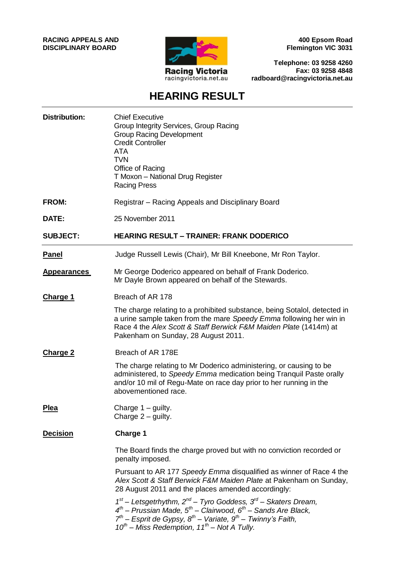#### **RACING APPEALS AND DISCIPLINARY BOARD**



**400 Epsom Road Flemington VIC 3031**

**Telephone: 03 9258 4260 Fax: 03 9258 4848 radboard@racingvictoria.net.au**

## **HEARING RESULT**

| <b>Distribution:</b> | <b>Chief Executive</b><br>Group Integrity Services, Group Racing<br><b>Group Racing Development</b><br><b>Credit Controller</b><br>ATA<br><b>TVN</b><br>Office of Racing<br>T Moxon - National Drug Register<br><b>Racing Press</b>                                                                |
|----------------------|----------------------------------------------------------------------------------------------------------------------------------------------------------------------------------------------------------------------------------------------------------------------------------------------------|
| FROM:                | Registrar - Racing Appeals and Disciplinary Board                                                                                                                                                                                                                                                  |
| DATE:                | 25 November 2011                                                                                                                                                                                                                                                                                   |
| <b>SUBJECT:</b>      | <b>HEARING RESULT - TRAINER: FRANK DODERICO</b>                                                                                                                                                                                                                                                    |
| <b>Panel</b>         | Judge Russell Lewis (Chair), Mr Bill Kneebone, Mr Ron Taylor.                                                                                                                                                                                                                                      |
| <b>Appearances</b>   | Mr George Doderico appeared on behalf of Frank Doderico.<br>Mr Dayle Brown appeared on behalf of the Stewards.                                                                                                                                                                                     |
| <b>Charge 1</b>      | Breach of AR 178                                                                                                                                                                                                                                                                                   |
|                      | The charge relating to a prohibited substance, being Sotalol, detected in<br>a urine sample taken from the mare Speedy Emma following her win in<br>Race 4 the Alex Scott & Staff Berwick F&M Maiden Plate (1414m) at<br>Pakenham on Sunday, 28 August 2011.                                       |
| <b>Charge 2</b>      | Breach of AR 178E                                                                                                                                                                                                                                                                                  |
|                      | The charge relating to Mr Doderico administering, or causing to be<br>administered, to Speedy Emma medication being Tranquil Paste orally<br>and/or 10 mil of Regu-Mate on race day prior to her running in the<br>abovementioned race.                                                            |
| <b>Plea</b>          | Charge $1 -$ guilty.<br>Charge $2$ – guilty.                                                                                                                                                                                                                                                       |
| <b>Decision</b>      | <b>Charge 1</b>                                                                                                                                                                                                                                                                                    |
|                      | The Board finds the charge proved but with no conviction recorded or<br>penalty imposed.                                                                                                                                                                                                           |
|                      | Pursuant to AR 177 Speedy Emma disqualified as winner of Race 4 the<br>Alex Scott & Staff Berwick F&M Maiden Plate at Pakenham on Sunday,<br>28 August 2011 and the places amended accordingly:                                                                                                    |
|                      | $1^{st}$ – Letsgetrhythm, $2^{nd}$ – Tyro Goddess, $3^{rd}$ – Skaters Dream,<br>$4^{th}$ – Prussian Made, $5^{th}$ – Clairwood, $6^{th}$ – Sands Are Black,<br>$7^{th}$ – Esprit de Gypsy, $8^{th}$ – Variate, $9^{th}$ – Twinny's Faith,<br>$10^{th}$ – Miss Redemption, $11^{th}$ – Not A Tully. |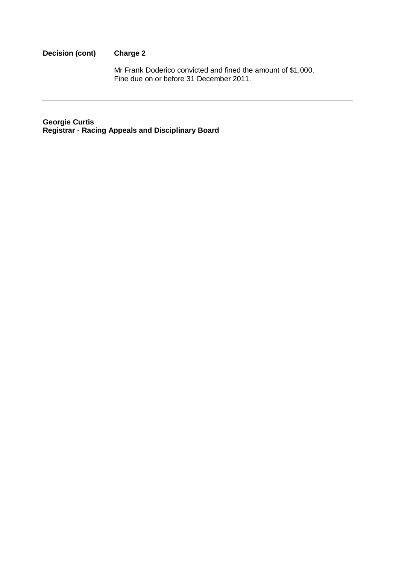#### **Decision (cont) Charge 2**

Mr Frank Doderico convicted and fined the amount of \$1,000. Fine due on or before 31 December 2011.

**Georgie Curtis Registrar - Racing Appeals and Disciplinary Board**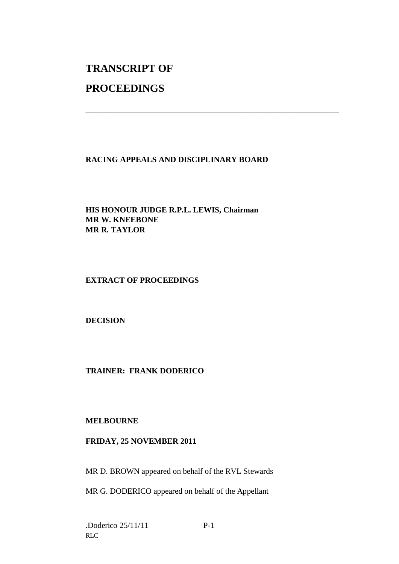# **TRANSCRIPT OF**

## **PROCEEDINGS**

### **RACING APPEALS AND DISCIPLINARY BOARD**

\_\_\_\_\_\_\_\_\_\_\_\_\_\_\_\_\_\_\_\_\_\_\_\_\_\_\_\_\_\_\_\_\_\_\_\_\_\_\_\_\_\_\_\_\_\_\_\_\_\_\_\_\_\_\_\_\_\_\_\_\_\_\_

**HIS HONOUR JUDGE R.P.L. LEWIS, Chairman MR W. KNEEBONE MR R. TAYLOR**

#### **EXTRACT OF PROCEEDINGS**

**DECISION**

#### **TRAINER: FRANK DODERICO**

#### **MELBOURNE**

#### **FRIDAY, 25 NOVEMBER 2011**

MR D. BROWN appeared on behalf of the RVL Stewards

MR G. DODERICO appeared on behalf of the Appellant